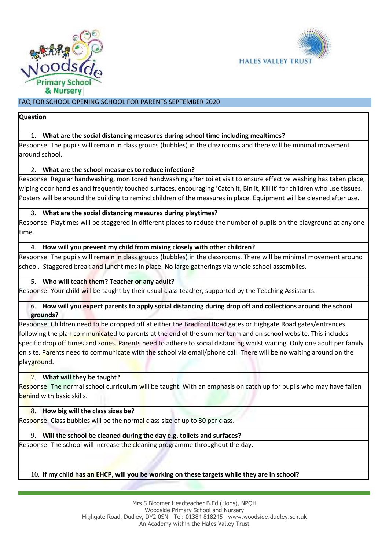



# FAQ FOR SCHOOL OPENING SCHOOL FOR PARENTS SEPTEMBER 2020

#### **Question**

# 1. **What are the social distancing measures during school time including mealtimes?**

Response: The pupils will remain in class groups (bubbles) in the classrooms and there will be minimal movement around school.

## 2. **What are the school measures to reduce infection?**

Response: Regular handwashing, monitored handwashing after toilet visit to ensure effective washing has taken place, wiping door handles and frequently touched surfaces, encouraging 'Catch it, Bin it, Kill it' for children who use tissues. Posters will be around the building to remind children of the measures in place. Equipment will be cleaned after use.

## 3. **What are the social distancing measures during playtimes?**

Response: Playtimes will be staggered in different places to reduce the number of pupils on the playground at any one time.

#### 4. **How will you prevent my child from mixing closely with other children?**

Response: The pupils will remain in class groups (bubbles) in the classrooms. There will be minimal movement around school. Staggered break and lunchtimes in place. No large gatherings via whole school assemblies.

## 5. **Who will teach them? Teacher or any adult?**

Response: Your child will be taught by their usual class teacher, supported by the Teaching Assistants.

#### 6. **How will you expect parents to apply social distancing during drop off and collections around the school grounds?**

Response: Children need to be dropped off at either the Bradford Road gates or Highgate Road gates/entrances following the plan communicated to parents at the end of the summer term and on school website. This includes specific drop off times and zones. Parents need to adhere to social distancing whilst waiting. Only one adult per family on site. Parents need to communicate with the school via email/phone call. There will be no waiting around on the playground.

## 7. **What will they be taught?**

Response: The normal school curriculum will be taught. With an emphasis on catch up for pupils who may have fallen behind with basic skills.

#### 8. **How big will the class sizes be?**

Response: Class bubbles will be the normal class size of up to 30 per class.

## 9. **Will the school be cleaned during the day e.g. toilets and surfaces?**

Response: The school will increase the cleaning programme throughout the day.

#### 10. **If my child has an EHCP, will you be working on these targets while they are in school?**